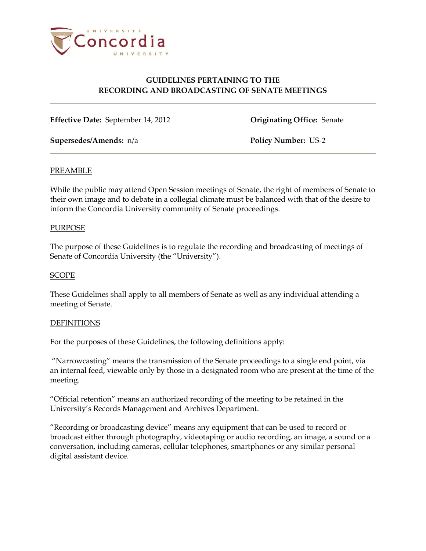

# **GUIDELINES PERTAINING TO THE RECORDING AND BROADCASTING OF SENATE MEETINGS**

**Effective Date:** September 14, 2012 **Originating Office:** Senate

**Supersedes/Amends:** n/a **Policy Number:** US-2

### PREAMBLE

While the public may attend Open Session meetings of Senate, the right of members of Senate to their own image and to debate in a collegial climate must be balanced with that of the desire to inform the Concordia University community of Senate proceedings.

#### PURPOSE

The purpose of these Guidelines is to regulate the recording and broadcasting of meetings of Senate of Concordia University (the "University").

## **SCOPE**

These Guidelines shall apply to all members of Senate as well as any individual attending a meeting of Senate.

#### **DEFINITIONS**

For the purposes of these Guidelines, the following definitions apply:

"Narrowcasting" means the transmission of the Senate proceedings to a single end point, via an internal feed, viewable only by those in a designated room who are present at the time of the meeting.

"Official retention" means an authorized recording of the meeting to be retained in the University's Records Management and Archives Department.

"Recording or broadcasting device" means any equipment that can be used to record or broadcast either through photography, videotaping or audio recording, an image, a sound or a conversation, including cameras, cellular telephones, smartphones or any similar personal digital assistant device.